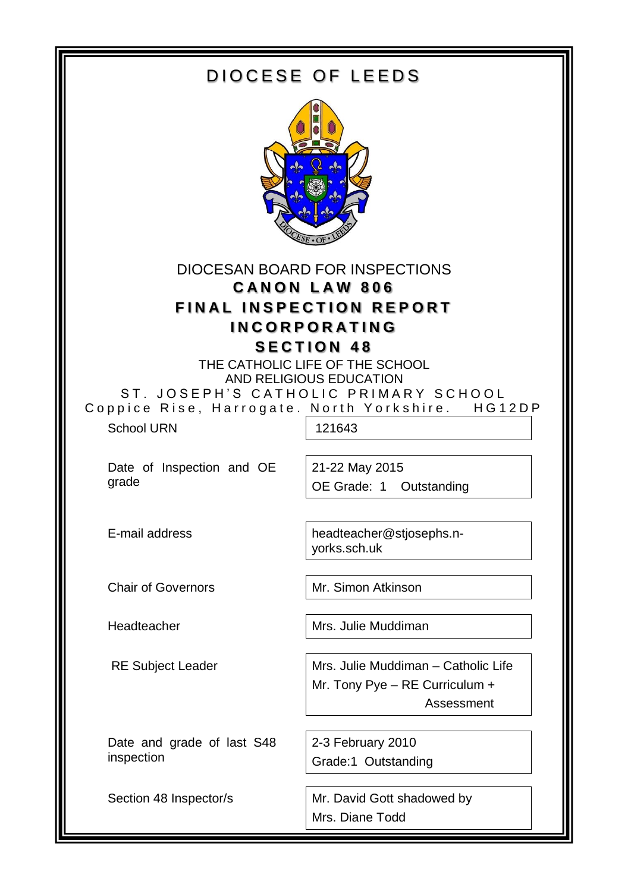| DIOCESE OF LEEDS                                                                                                                      |                                                                                                                                                                  |  |
|---------------------------------------------------------------------------------------------------------------------------------------|------------------------------------------------------------------------------------------------------------------------------------------------------------------|--|
|                                                                                                                                       |                                                                                                                                                                  |  |
| DIOCESAN BOARD FOR INSPECTIONS<br><b>CANON LAW 806</b><br><b>FINAL INSPECTION REPORT</b><br><b>INCORPORATING</b><br><b>SECTION 48</b> |                                                                                                                                                                  |  |
| <b>School URN</b>                                                                                                                     | THE CATHOLIC LIFE OF THE SCHOOL<br>AND RELIGIOUS EDUCATION<br>ST. JOSEPH'S CATHOLIC PRIMARY SCHOOL<br>Coppice Rise, Harrogate. North Yorkshire. HG12DP<br>121643 |  |
| Date of Inspection and OE<br>grade                                                                                                    | 21-22 May 2015<br>OE Grade: 1 Outstanding                                                                                                                        |  |
| E-mail address                                                                                                                        | headteacher@stjosephs.n-<br>yorks.sch.uk                                                                                                                         |  |
| <b>Chair of Governors</b>                                                                                                             | Mr. Simon Atkinson                                                                                                                                               |  |
| Headteacher                                                                                                                           | Mrs. Julie Muddiman                                                                                                                                              |  |
| <b>RE Subject Leader</b>                                                                                                              | Mrs. Julie Muddiman - Catholic Life<br>Mr. Tony Pye - RE Curriculum +<br>Assessment                                                                              |  |
| Date and grade of last S48<br>inspection                                                                                              | 2-3 February 2010<br>Grade:1 Outstanding                                                                                                                         |  |
| Section 48 Inspector/s                                                                                                                | Mr. David Gott shadowed by<br>Mrs. Diane Todd                                                                                                                    |  |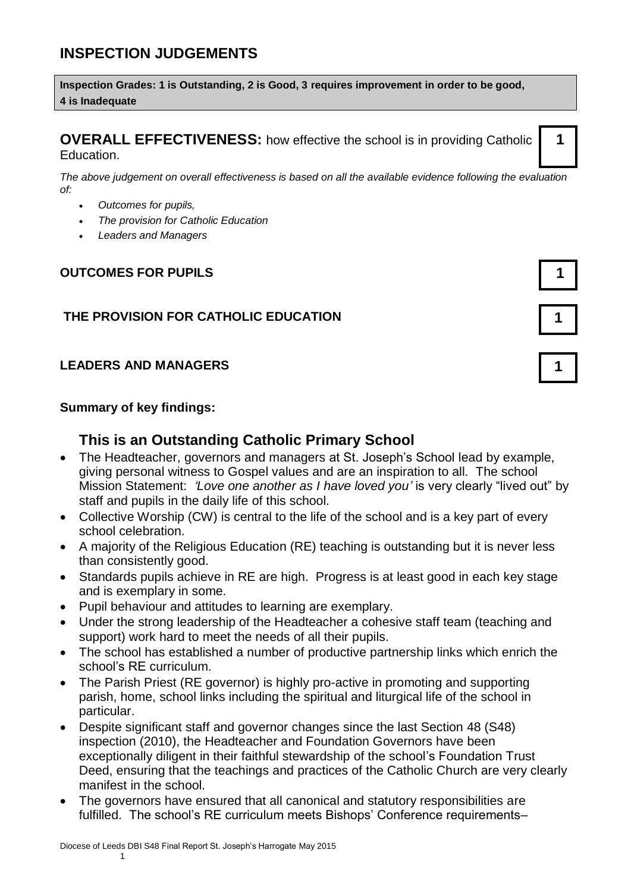# **INSPECTION JUDGEMENTS**

**Inspection Grades: 1 is Outstanding, 2 is Good, 3 requires improvement in order to be good, 4 is Inadequate**

**OVERALL EFFECTIVENESS:** how effective the school is in providing Catholic Education.

*The above judgement on overall effectiveness is based on all the available evidence following the evaluation of:* 

- *Outcomes for pupils,*
- *The provision for Catholic Education*
- *Leaders and Managers*

### **OUTCOMES FOR PUPILS 1**

### **THE PROVISION FOR CATHOLIC EDUCATION 1**

#### **LEADERS AND MANAGERS 1**

#### **Summary of key findings:**

### **This is an Outstanding Catholic Primary School**

- The Headteacher, governors and managers at St. Joseph's School lead by example. giving personal witness to Gospel values and are an inspiration to all. The school Mission Statement: *'Love one another as I have loved you'* is very clearly "lived out" by staff and pupils in the daily life of this school.
- Collective Worship (CW) is central to the life of the school and is a key part of every school celebration.
- A majority of the Religious Education (RE) teaching is outstanding but it is never less than consistently good.
- Standards pupils achieve in RE are high. Progress is at least good in each key stage and is exemplary in some.
- Pupil behaviour and attitudes to learning are exemplary.
- Under the strong leadership of the Headteacher a cohesive staff team (teaching and support) work hard to meet the needs of all their pupils.
- The school has established a number of productive partnership links which enrich the school's RE curriculum.
- The Parish Priest (RE governor) is highly pro-active in promoting and supporting parish, home, school links including the spiritual and liturgical life of the school in particular.
- Despite significant staff and governor changes since the last Section 48 (S48) inspection (2010), the Headteacher and Foundation Governors have been exceptionally diligent in their faithful stewardship of the school's Foundation Trust Deed, ensuring that the teachings and practices of the Catholic Church are very clearly manifest in the school.
- The governors have ensured that all canonical and statutory responsibilities are fulfilled. The school's RE curriculum meets Bishops' Conference requirements–

**1**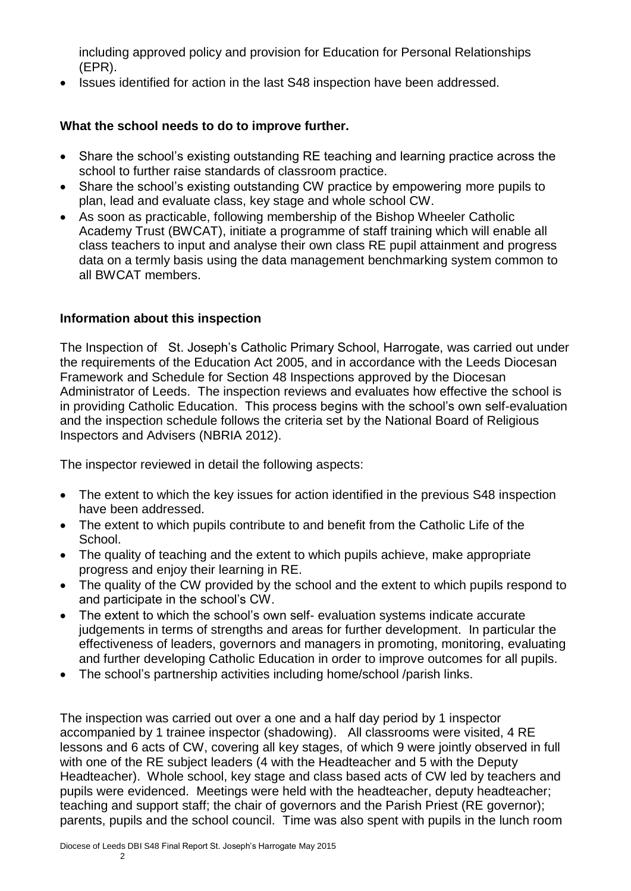including approved policy and provision for Education for Personal Relationships (EPR).

• Issues identified for action in the last S48 inspection have been addressed.

#### **What the school needs to do to improve further.**

- Share the school's existing outstanding RE teaching and learning practice across the school to further raise standards of classroom practice.
- Share the school's existing outstanding CW practice by empowering more pupils to plan, lead and evaluate class, key stage and whole school CW.
- As soon as practicable, following membership of the Bishop Wheeler Catholic Academy Trust (BWCAT), initiate a programme of staff training which will enable all class teachers to input and analyse their own class RE pupil attainment and progress data on a termly basis using the data management benchmarking system common to all BWCAT members.

#### **Information about this inspection**

The Inspection of St. Joseph's Catholic Primary School, Harrogate, was carried out under the requirements of the Education Act 2005, and in accordance with the Leeds Diocesan Framework and Schedule for Section 48 Inspections approved by the Diocesan Administrator of Leeds. The inspection reviews and evaluates how effective the school is in providing Catholic Education. This process begins with the school's own self-evaluation and the inspection schedule follows the criteria set by the National Board of Religious Inspectors and Advisers (NBRIA 2012).

The inspector reviewed in detail the following aspects:

- The extent to which the key issues for action identified in the previous S48 inspection have been addressed.
- The extent to which pupils contribute to and benefit from the Catholic Life of the School.
- The quality of teaching and the extent to which pupils achieve, make appropriate progress and enjoy their learning in RE.
- The quality of the CW provided by the school and the extent to which pupils respond to and participate in the school's CW.
- The extent to which the school's own self- evaluation systems indicate accurate judgements in terms of strengths and areas for further development. In particular the effectiveness of leaders, governors and managers in promoting, monitoring, evaluating and further developing Catholic Education in order to improve outcomes for all pupils.
- The school's partnership activities including home/school /parish links.

The inspection was carried out over a one and a half day period by 1 inspector accompanied by 1 trainee inspector (shadowing). All classrooms were visited, 4 RE lessons and 6 acts of CW, covering all key stages, of which 9 were jointly observed in full with one of the RE subject leaders (4 with the Headteacher and 5 with the Deputy Headteacher). Whole school, key stage and class based acts of CW led by teachers and pupils were evidenced. Meetings were held with the headteacher, deputy headteacher; teaching and support staff; the chair of governors and the Parish Priest (RE governor); parents, pupils and the school council. Time was also spent with pupils in the lunch room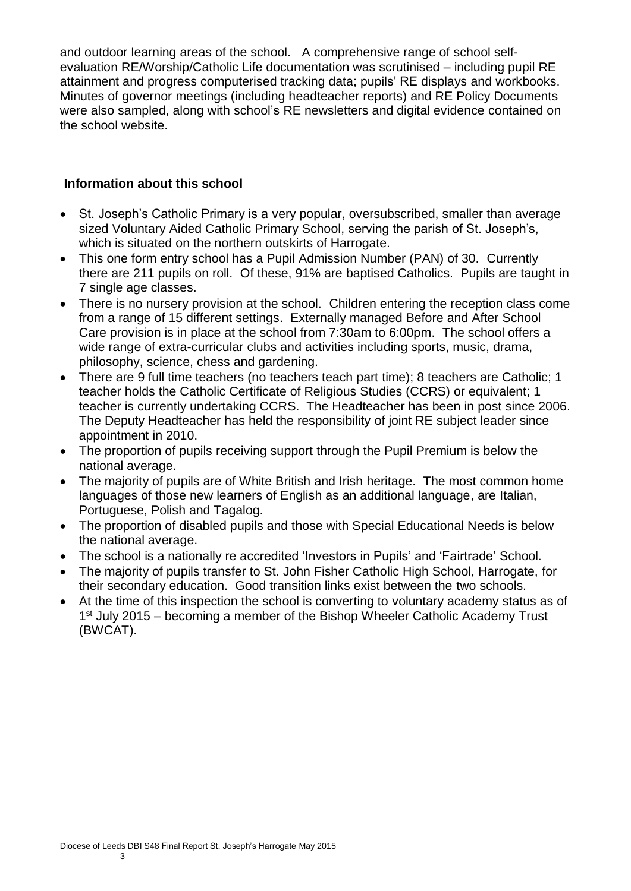and outdoor learning areas of the school. A comprehensive range of school selfevaluation RE/Worship/Catholic Life documentation was scrutinised – including pupil RE attainment and progress computerised tracking data; pupils' RE displays and workbooks. Minutes of governor meetings (including headteacher reports) and RE Policy Documents were also sampled, along with school's RE newsletters and digital evidence contained on the school website.

#### **Information about this school**

- St. Joseph's Catholic Primary is a very popular, oversubscribed, smaller than average sized Voluntary Aided Catholic Primary School, serving the parish of St. Joseph's, which is situated on the northern outskirts of Harrogate.
- This one form entry school has a Pupil Admission Number (PAN) of 30. Currently there are 211 pupils on roll. Of these, 91% are baptised Catholics. Pupils are taught in 7 single age classes.
- There is no nursery provision at the school. Children entering the reception class come from a range of 15 different settings. Externally managed Before and After School Care provision is in place at the school from 7:30am to 6:00pm. The school offers a wide range of extra-curricular clubs and activities including sports, music, drama, philosophy, science, chess and gardening.
- There are 9 full time teachers (no teachers teach part time); 8 teachers are Catholic; 1 teacher holds the Catholic Certificate of Religious Studies (CCRS) or equivalent; 1 teacher is currently undertaking CCRS. The Headteacher has been in post since 2006. The Deputy Headteacher has held the responsibility of joint RE subject leader since appointment in 2010.
- The proportion of pupils receiving support through the Pupil Premium is below the national average.
- The majority of pupils are of White British and Irish heritage. The most common home languages of those new learners of English as an additional language, are Italian, Portuguese, Polish and Tagalog.
- The proportion of disabled pupils and those with Special Educational Needs is below the national average.
- The school is a nationally re accredited 'Investors in Pupils' and 'Fairtrade' School.
- The majority of pupils transfer to St. John Fisher Catholic High School, Harrogate, for their secondary education. Good transition links exist between the two schools.
- At the time of this inspection the school is converting to voluntary academy status as of 1<sup>st</sup> July 2015 – becoming a member of the Bishop Wheeler Catholic Academy Trust (BWCAT).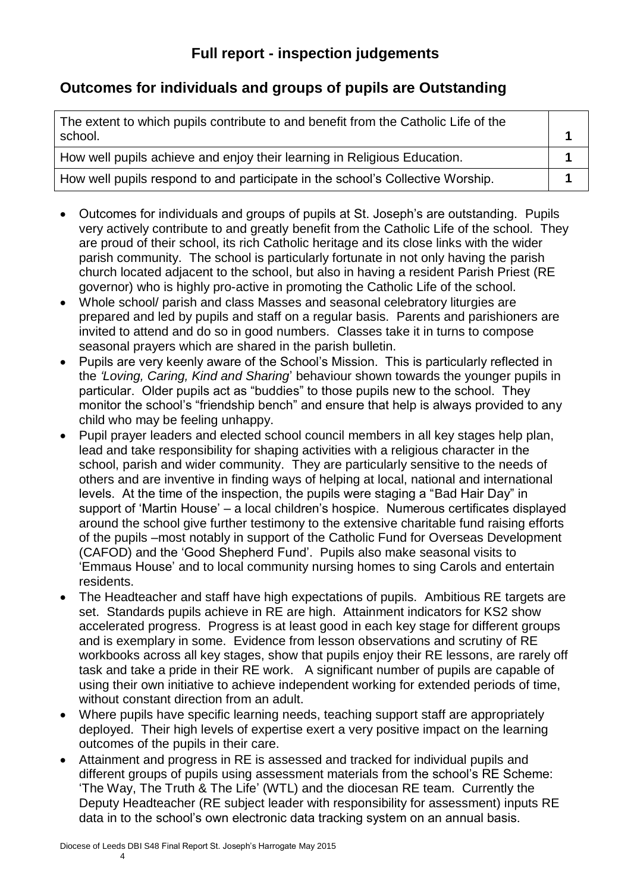## **Outcomes for individuals and groups of pupils are Outstanding**

| The extent to which pupils contribute to and benefit from the Catholic Life of the<br>school. |  |
|-----------------------------------------------------------------------------------------------|--|
| How well pupils achieve and enjoy their learning in Religious Education.                      |  |
| How well pupils respond to and participate in the school's Collective Worship.                |  |

- Outcomes for individuals and groups of pupils at St. Joseph's are outstanding. Pupils very actively contribute to and greatly benefit from the Catholic Life of the school. They are proud of their school, its rich Catholic heritage and its close links with the wider parish community. The school is particularly fortunate in not only having the parish church located adjacent to the school, but also in having a resident Parish Priest (RE governor) who is highly pro-active in promoting the Catholic Life of the school.
- Whole school/ parish and class Masses and seasonal celebratory liturgies are prepared and led by pupils and staff on a regular basis. Parents and parishioners are invited to attend and do so in good numbers. Classes take it in turns to compose seasonal prayers which are shared in the parish bulletin.
- Pupils are very keenly aware of the School's Mission. This is particularly reflected in the *'Loving, Caring, Kind and Sharing*' behaviour shown towards the younger pupils in particular. Older pupils act as "buddies" to those pupils new to the school. They monitor the school's "friendship bench" and ensure that help is always provided to any child who may be feeling unhappy.
- Pupil prayer leaders and elected school council members in all key stages help plan, lead and take responsibility for shaping activities with a religious character in the school, parish and wider community. They are particularly sensitive to the needs of others and are inventive in finding ways of helping at local, national and international levels. At the time of the inspection, the pupils were staging a "Bad Hair Day" in support of 'Martin House' – a local children's hospice. Numerous certificates displayed around the school give further testimony to the extensive charitable fund raising efforts of the pupils –most notably in support of the Catholic Fund for Overseas Development (CAFOD) and the 'Good Shepherd Fund'. Pupils also make seasonal visits to 'Emmaus House' and to local community nursing homes to sing Carols and entertain residents.
- The Headteacher and staff have high expectations of pupils. Ambitious RE targets are set. Standards pupils achieve in RE are high. Attainment indicators for KS2 show accelerated progress. Progress is at least good in each key stage for different groups and is exemplary in some. Evidence from lesson observations and scrutiny of RE workbooks across all key stages, show that pupils enjoy their RE lessons, are rarely off task and take a pride in their RE work. A significant number of pupils are capable of using their own initiative to achieve independent working for extended periods of time, without constant direction from an adult.
- Where pupils have specific learning needs, teaching support staff are appropriately deployed. Their high levels of expertise exert a very positive impact on the learning outcomes of the pupils in their care.
- Attainment and progress in RE is assessed and tracked for individual pupils and different groups of pupils using assessment materials from the school's RE Scheme: 'The Way, The Truth & The Life' (WTL) and the diocesan RE team. Currently the Deputy Headteacher (RE subject leader with responsibility for assessment) inputs RE data in to the school's own electronic data tracking system on an annual basis.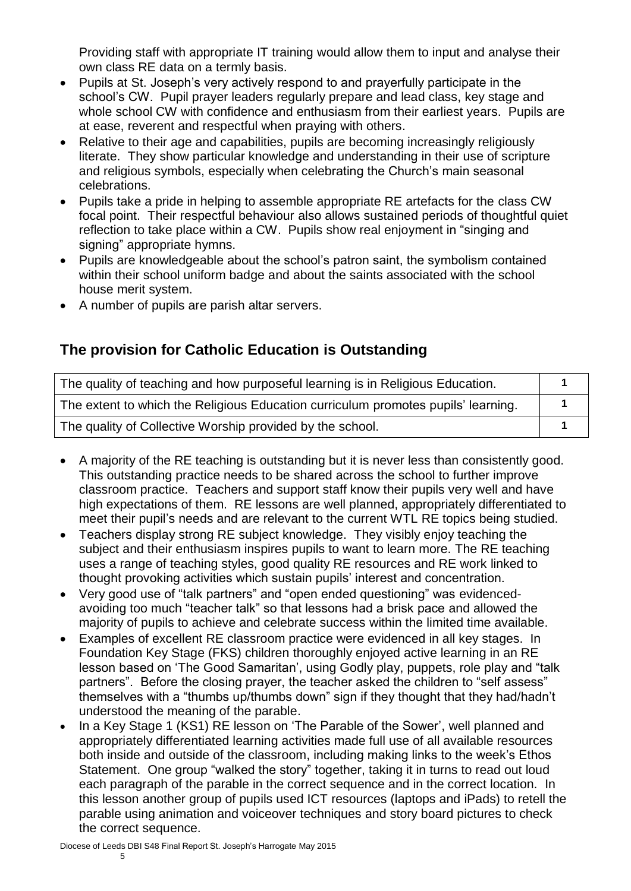Providing staff with appropriate IT training would allow them to input and analyse their own class RE data on a termly basis.

- Pupils at St. Joseph's very actively respond to and prayerfully participate in the school's CW. Pupil prayer leaders regularly prepare and lead class, key stage and whole school CW with confidence and enthusiasm from their earliest years. Pupils are at ease, reverent and respectful when praying with others.
- Relative to their age and capabilities, pupils are becoming increasingly religiously literate. They show particular knowledge and understanding in their use of scripture and religious symbols, especially when celebrating the Church's main seasonal celebrations.
- Pupils take a pride in helping to assemble appropriate RE artefacts for the class CW focal point. Their respectful behaviour also allows sustained periods of thoughtful quiet reflection to take place within a CW. Pupils show real enjoyment in "singing and signing" appropriate hymns.
- Pupils are knowledgeable about the school's patron saint, the symbolism contained within their school uniform badge and about the saints associated with the school house merit system.
- A number of pupils are parish altar servers.

## **The provision for Catholic Education is Outstanding**

| The quality of teaching and how purposeful learning is in Religious Education.    |  |
|-----------------------------------------------------------------------------------|--|
| The extent to which the Religious Education curriculum promotes pupils' learning. |  |
| The quality of Collective Worship provided by the school.                         |  |

- A majority of the RE teaching is outstanding but it is never less than consistently good. This outstanding practice needs to be shared across the school to further improve classroom practice. Teachers and support staff know their pupils very well and have high expectations of them. RE lessons are well planned, appropriately differentiated to meet their pupil's needs and are relevant to the current WTL RE topics being studied.
- Teachers display strong RE subject knowledge. They visibly enjoy teaching the subject and their enthusiasm inspires pupils to want to learn more. The RE teaching uses a range of teaching styles, good quality RE resources and RE work linked to thought provoking activities which sustain pupils' interest and concentration.
- Very good use of "talk partners" and "open ended questioning" was evidencedavoiding too much "teacher talk" so that lessons had a brisk pace and allowed the majority of pupils to achieve and celebrate success within the limited time available.
- Examples of excellent RE classroom practice were evidenced in all key stages. In Foundation Key Stage (FKS) children thoroughly enjoyed active learning in an RE lesson based on 'The Good Samaritan', using Godly play, puppets, role play and "talk partners". Before the closing prayer, the teacher asked the children to "self assess" themselves with a "thumbs up/thumbs down" sign if they thought that they had/hadn't understood the meaning of the parable.
- In a Key Stage 1 (KS1) RE lesson on 'The Parable of the Sower', well planned and appropriately differentiated learning activities made full use of all available resources both inside and outside of the classroom, including making links to the week's Ethos Statement. One group "walked the story" together, taking it in turns to read out loud each paragraph of the parable in the correct sequence and in the correct location. In this lesson another group of pupils used ICT resources (laptops and iPads) to retell the parable using animation and voiceover techniques and story board pictures to check the correct sequence.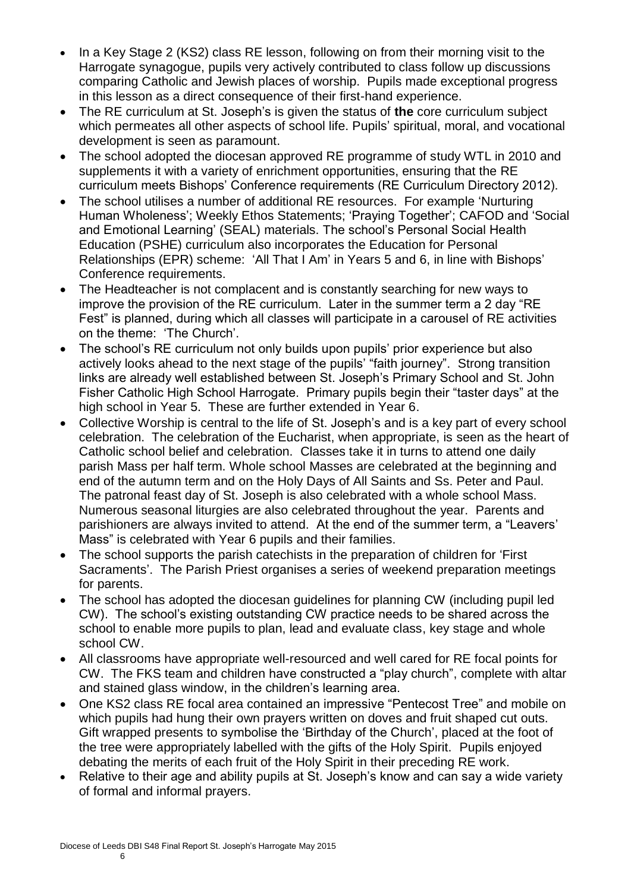- In a Key Stage 2 (KS2) class RE lesson, following on from their morning visit to the Harrogate synagogue, pupils very actively contributed to class follow up discussions comparing Catholic and Jewish places of worship. Pupils made exceptional progress in this lesson as a direct consequence of their first-hand experience.
- The RE curriculum at St. Joseph's is given the status of **the** core curriculum subject which permeates all other aspects of school life. Pupils' spiritual, moral, and vocational development is seen as paramount.
- The school adopted the diocesan approved RE programme of study WTL in 2010 and supplements it with a variety of enrichment opportunities, ensuring that the RE curriculum meets Bishops' Conference requirements (RE Curriculum Directory 2012).
- The school utilises a number of additional RE resources. For example 'Nurturing Human Wholeness'; Weekly Ethos Statements; 'Praying Together'; CAFOD and 'Social and Emotional Learning' (SEAL) materials. The school's Personal Social Health Education (PSHE) curriculum also incorporates the Education for Personal Relationships (EPR) scheme: 'All That I Am' in Years 5 and 6, in line with Bishops' Conference requirements.
- The Headteacher is not complacent and is constantly searching for new ways to improve the provision of the RE curriculum. Later in the summer term a 2 day "RE Fest" is planned, during which all classes will participate in a carousel of RE activities on the theme: 'The Church'.
- The school's RE curriculum not only builds upon pupils' prior experience but also actively looks ahead to the next stage of the pupils' "faith journey". Strong transition links are already well established between St. Joseph's Primary School and St. John Fisher Catholic High School Harrogate. Primary pupils begin their "taster days" at the high school in Year 5. These are further extended in Year 6.
- Collective Worship is central to the life of St. Joseph's and is a key part of every school celebration. The celebration of the Eucharist, when appropriate, is seen as the heart of Catholic school belief and celebration. Classes take it in turns to attend one daily parish Mass per half term. Whole school Masses are celebrated at the beginning and end of the autumn term and on the Holy Days of All Saints and Ss. Peter and Paul. The patronal feast day of St. Joseph is also celebrated with a whole school Mass. Numerous seasonal liturgies are also celebrated throughout the year. Parents and parishioners are always invited to attend. At the end of the summer term, a "Leavers' Mass" is celebrated with Year 6 pupils and their families.
- The school supports the parish catechists in the preparation of children for 'First Sacraments'. The Parish Priest organises a series of weekend preparation meetings for parents.
- The school has adopted the diocesan quidelines for planning CW (including pupil led CW). The school's existing outstanding CW practice needs to be shared across the school to enable more pupils to plan, lead and evaluate class, key stage and whole school CW.
- All classrooms have appropriate well-resourced and well cared for RE focal points for CW. The FKS team and children have constructed a "play church", complete with altar and stained glass window, in the children's learning area.
- One KS2 class RE focal area contained an impressive "Pentecost Tree" and mobile on which pupils had hung their own prayers written on doves and fruit shaped cut outs. Gift wrapped presents to symbolise the 'Birthday of the Church', placed at the foot of the tree were appropriately labelled with the gifts of the Holy Spirit. Pupils enjoyed debating the merits of each fruit of the Holy Spirit in their preceding RE work.
- Relative to their age and ability pupils at St. Joseph's know and can say a wide variety of formal and informal prayers.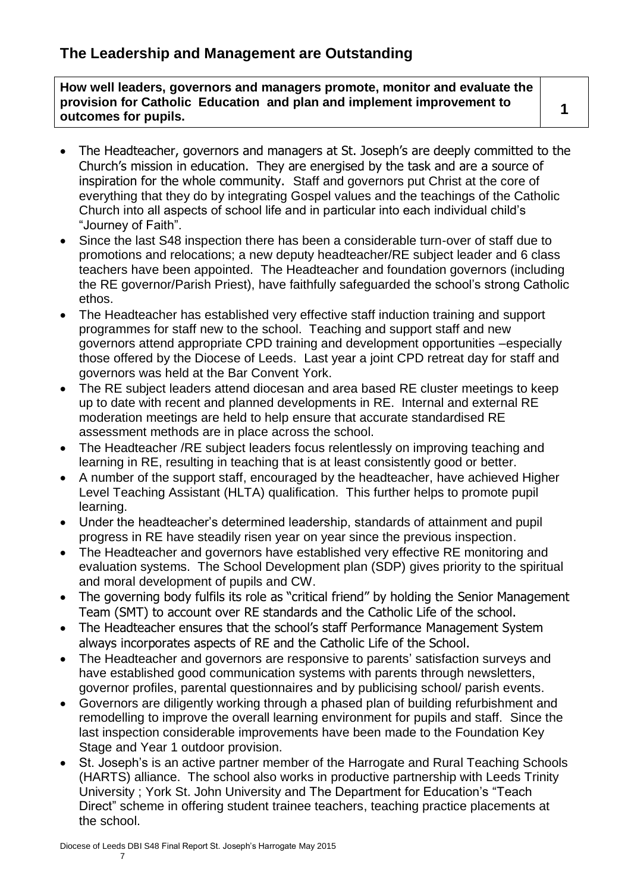**How well leaders, governors and managers promote, monitor and evaluate the provision for Catholic Education and plan and implement improvement to outcomes for pupils. <sup>1</sup>**

- 
- The Headteacher, governors and managers at St. Joseph's are deeply committed to the Church's mission in education. They are energised by the task and are a source of inspiration for the whole community. Staff and governors put Christ at the core of everything that they do by integrating Gospel values and the teachings of the Catholic Church into all aspects of school life and in particular into each individual child's "Journey of Faith".
- Since the last S48 inspection there has been a considerable turn-over of staff due to promotions and relocations; a new deputy headteacher/RE subject leader and 6 class teachers have been appointed. The Headteacher and foundation governors (including the RE governor/Parish Priest), have faithfully safeguarded the school's strong Catholic ethos.
- The Headteacher has established very effective staff induction training and support programmes for staff new to the school. Teaching and support staff and new governors attend appropriate CPD training and development opportunities –especially those offered by the Diocese of Leeds. Last year a joint CPD retreat day for staff and governors was held at the Bar Convent York.
- The RE subject leaders attend diocesan and area based RE cluster meetings to keep up to date with recent and planned developments in RE. Internal and external RE moderation meetings are held to help ensure that accurate standardised RE assessment methods are in place across the school.
- The Headteacher / RE subject leaders focus relentlessly on improving teaching and learning in RE, resulting in teaching that is at least consistently good or better.
- A number of the support staff, encouraged by the headteacher, have achieved Higher Level Teaching Assistant (HLTA) qualification. This further helps to promote pupil learning.
- Under the headteacher's determined leadership, standards of attainment and pupil progress in RE have steadily risen year on year since the previous inspection.
- The Headteacher and governors have established very effective RE monitoring and evaluation systems. The School Development plan (SDP) gives priority to the spiritual and moral development of pupils and CW.
- The governing body fulfils its role as "critical friend" by holding the Senior Management Team (SMT) to account over RE standards and the Catholic Life of the school.
- The Headteacher ensures that the school's staff Performance Management System always incorporates aspects of RE and the Catholic Life of the School.
- The Headteacher and governors are responsive to parents' satisfaction surveys and have established good communication systems with parents through newsletters, governor profiles, parental questionnaires and by publicising school/ parish events.
- Governors are diligently working through a phased plan of building refurbishment and remodelling to improve the overall learning environment for pupils and staff. Since the last inspection considerable improvements have been made to the Foundation Key Stage and Year 1 outdoor provision.
- St. Joseph's is an active partner member of the Harrogate and Rural Teaching Schools (HARTS) alliance. The school also works in productive partnership with Leeds Trinity University ; York St. John University and The Department for Education's "Teach Direct" scheme in offering student trainee teachers, teaching practice placements at the school.